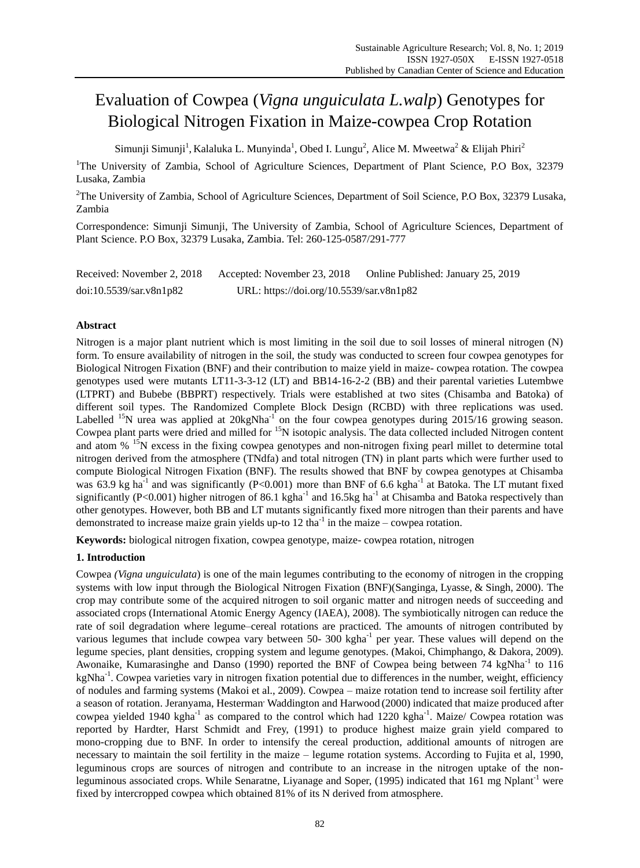# Evaluation of Cowpea (*Vigna unguiculata L.walp*) Genotypes for Biological Nitrogen Fixation in Maize-cowpea Crop Rotation

Simunji Simunji<sup>1</sup>, Kalaluka L. Munyinda<sup>1</sup>, Obed I. Lungu<sup>2</sup>, Alice M. Mweetwa<sup>2</sup> & Elijah Phiri<sup>2</sup>

<sup>1</sup>The University of Zambia, School of Agriculture Sciences, Department of Plant Science, P.O Box, 32379 Lusaka, Zambia

<sup>2</sup>The University of Zambia, School of Agriculture Sciences, Department of Soil Science, P.O Box, 32379 Lusaka, Zambia

Correspondence: Simunji Simunji, The University of Zambia, School of Agriculture Sciences, Department of Plant Science. P.O Box, 32379 Lusaka, Zambia. Tel: 260-125-0587/291-777

| Received: November 2, 2018 | Accepted: November 23, 2018              | Online Published: January 25, 2019 |
|----------------------------|------------------------------------------|------------------------------------|
| doi:10.5539/sar.v8n1p82    | URL: https://doi.org/10.5539/sar.v8n1p82 |                                    |

# **Abstract**

Nitrogen is a major plant nutrient which is most limiting in the soil due to soil losses of mineral nitrogen (N) form. To ensure availability of nitrogen in the soil, the study was conducted to screen four cowpea genotypes for Biological Nitrogen Fixation (BNF) and their contribution to maize yield in maize- cowpea rotation. The cowpea genotypes used were mutants LT11-3-3-12 (LT) and BB14-16-2-2 (BB) and their parental varieties Lutembwe (LTPRT) and Bubebe (BBPRT) respectively. Trials were established at two sites (Chisamba and Batoka) of different soil types. The Randomized Complete Block Design (RCBD) with three replications was used. Labelled  $^{15}N$  urea was applied at 20kgNha<sup>-1</sup> on the four cowpea genotypes during 2015/16 growing season. Cowpea plant parts were dried and milled for <sup>15</sup>N isotopic analysis. The data collected included Nitrogen content and atom % <sup>15</sup>N excess in the fixing cowpea genotypes and non-nitrogen fixing pearl millet to determine total nitrogen derived from the atmosphere (TNdfa) and total nitrogen (TN) in plant parts which were further used to compute Biological Nitrogen Fixation (BNF). The results showed that BNF by cowpea genotypes at Chisamba was 63.9 kg ha<sup>-1</sup> and was significantly (P<0.001) more than BNF of 6.6 kgha<sup>-1</sup> at Batoka. The LT mutant fixed significantly (P<0.001) higher nitrogen of 86.1 kgha<sup>-1</sup> and 16.5kg ha<sup>-1</sup> at Chisamba and Batoka respectively than other genotypes. However, both BB and LT mutants significantly fixed more nitrogen than their parents and have demonstrated to increase maize grain yields up-to  $12 \text{ tha}^{-1}$  in the maize – cowpea rotation.

**Keywords:** biological nitrogen fixation, cowpea genotype, maize- cowpea rotation, nitrogen

# **1. Introduction**

Cowpea *(Vigna unguiculata*) is one of the main legumes contributing to the economy of nitrogen in the cropping systems with low input through the Biological Nitrogen Fixation (BNF)(Sanginga, Lyasse, & Singh, 2000). The crop may contribute some of the acquired nitrogen to soil organic matter and nitrogen needs of succeeding and associated crops (International Atomic Energy Agency (IAEA), 2008). The symbiotically nitrogen can reduce the rate of soil degradation where legume–cereal rotations are practiced. The amounts of nitrogen contributed by various legumes that include cowpea vary between 50- 300 kgha<sup>-1</sup> per year. These values will depend on the legume species, plant densities, cropping system and legume genotypes. (Makoi, Chimphango, & Dakora, 2009). Awonaike, Kumarasinghe and Danso (1990) reported the BNF of Cowpea being between 74 kgNha<sup>-1</sup> to 116 kgNha<sup>-1</sup>. Cowpea varieties vary in nitrogen fixation potential due to differences in the number, weight, efficiency of nodules and farming systems (Makoi et al., 2009). Cowpea – maize rotation tend to increase soil fertility after a season of rotation. Jeranyama, Hesterman Waddington and Harwood (2000) indicated that maize produced after cowpea yielded 1940 kgha<sup>-1</sup> as compared to the control which had 1220 kgha<sup>-1</sup>. Maize/ Cowpea rotation was reported by Hardter, Harst Schmidt and Frey, (1991) to produce highest maize grain yield compared to mono-cropping due to BNF. In order to intensify the cereal production, additional amounts of nitrogen are necessary to maintain the soil fertility in the maize – legume rotation systems. According to Fujita et al, 1990, leguminous crops are sources of nitrogen and contribute to an increase in the nitrogen uptake of the nonleguminous associated crops. While Senaratne, Liyanage and Soper, (1995) indicated that 161 mg Nplant<sup>-1</sup> were fixed by intercropped cowpea which obtained 81% of its N derived from atmosphere.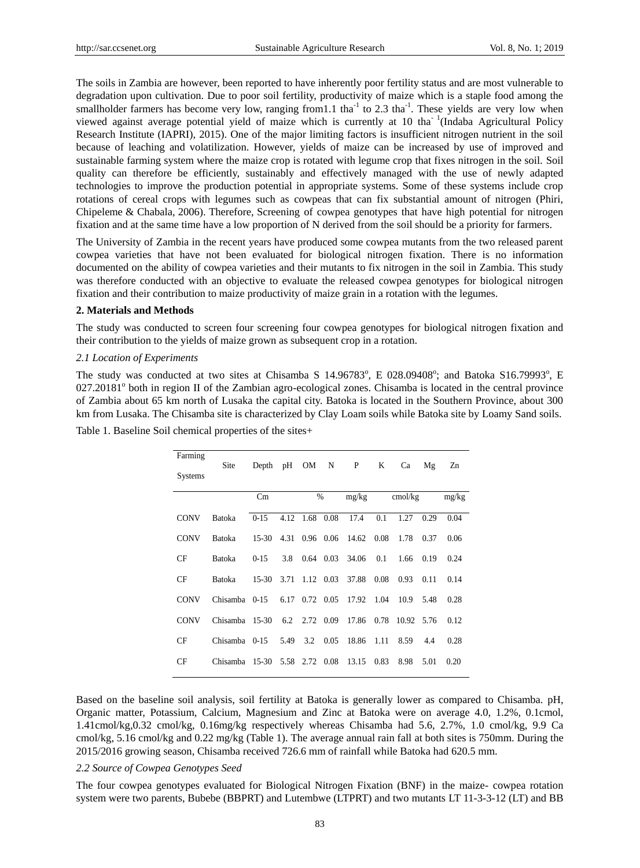The soils in Zambia are however, been reported to have inherently poor fertility status and are most vulnerable to degradation upon cultivation. Due to poor soil fertility, productivity of maize which is a staple food among the smallholder farmers has become very low, ranging from 1.1 tha<sup>-1</sup> to 2.3 tha<sup>-1</sup>. These yields are very low when viewed against average potential yield of maize which is currently at 10 tha<sup>-1</sup>(Indaba Agricultural Policy Research Institute (IAPRI), 2015). One of the major limiting factors is insufficient nitrogen nutrient in the soil because of leaching and volatilization. However, yields of maize can be increased by use of improved and sustainable farming system where the maize crop is rotated with legume crop that fixes nitrogen in the soil. Soil quality can therefore be efficiently, sustainably and effectively managed with the use of newly adapted technologies to improve the production potential in appropriate systems. Some of these systems include crop rotations of cereal crops with legumes such as cowpeas that can fix substantial amount of nitrogen (Phiri, Chipeleme & Chabala, 2006). Therefore, Screening of cowpea genotypes that have high potential for nitrogen fixation and at the same time have a low proportion of N derived from the soil should be a priority for farmers.

The University of Zambia in the recent years have produced some cowpea mutants from the two released parent cowpea varieties that have not been evaluated for biological nitrogen fixation. There is no information documented on the ability of cowpea varieties and their mutants to fix nitrogen in the soil in Zambia. This study was therefore conducted with an objective to evaluate the released cowpea genotypes for biological nitrogen fixation and their contribution to maize productivity of maize grain in a rotation with the legumes.

# **2. Materials and Methods**

The study was conducted to screen four screening four cowpea genotypes for biological nitrogen fixation and their contribution to the yields of maize grown as subsequent crop in a rotation.

### *2.1 Location of Experiments*

The study was conducted at two sites at Chisamba S 14.96783°, E 028.09408°; and Batoka S16.79993°, E 027.20181<sup>°</sup> both in region II of the Zambian agro-ecological zones. Chisamba is located in the central province of Zambia about 65 km north of Lusaka the capital city. Batoka is located in the Southern Province, about 300 km from Lusaka. The Chisamba site is characterized by Clay Loam soils while Batoka site by Loamy Sand soils.

| Farming        |                |         |      |                |                |                 |        |            |      |       |
|----------------|----------------|---------|------|----------------|----------------|-----------------|--------|------------|------|-------|
| <b>Systems</b> | Site           | Depth   | pH   | OM             | N              | P               | K      | Ca         | Mg   | Zn    |
|                |                | Cm      |      |                | %              | mg/kg           |        | cmol/kg    |      | mg/kg |
| <b>CONV</b>    | Batoka         | $0-15$  |      | 4.12 1.68      | 0.08           | 17.4            | 0.1    | 1.27       | 0.29 | 0.04  |
| <b>CONV</b>    | <b>Batoka</b>  | $15-30$ |      | 4.31 0.96 0.06 |                | 14.62 0.08      |        | 1.78       | 0.37 | 0.06  |
| CF             | Batoka         | $0-15$  | 3.8  |                |                | 0.64 0.03 34.06 | 0.1    | 1.66       | 0.19 | 0.24  |
| CF             | Batoka         | $15-30$ |      |                | 3.71 1.12 0.03 | 37.88           | 0.08   | 0.93       | 0.11 | 0.14  |
| <b>CONV</b>    | Chisamba 0-15  |         |      | 6.17 0.72 0.05 |                | 17.92           | 1.04   | 10.9       | 5.48 | 0.28  |
| <b>CONV</b>    | Chisamba 15-30 |         |      | 6.2 2.72 0.09  |                | 17.86           | 0.78   | 10.92 5.76 |      | 0.12  |
| CF             | Chisamba 0-15  |         | 5.49 | 3.2            | 0.05           | 18.86           | - 1.11 | 8.59       | 4.4  | 0.28  |
| CF             | Chisamba 15-30 |         |      | 5.58 2.72 0.08 |                | 13.15           | 0.83   | 8.98       | 5.01 | 0.20  |

Table 1. Baseline Soil chemical properties of the sites+ Table1. Baseline Soil chemical properties of the sites

Based on the baseline soil analysis, soil fertility at Batoka is generally lower as compared to Chisamba. pH, Organic matter, Potassium, Calcium, Magnesium and Zinc at Batoka were on average 4.0, 1.2%, 0.1cmol, 1.41cmol/kg,0.32 cmol/kg, 0.16mg/kg respectively whereas Chisamba had 5.6, 2.7%, 1.0 cmol/kg, 9.9 Ca cmol/kg, 5.16 cmol/kg and 0.22 mg/kg (Table 1). The average annual rain fall at both sites is 750mm. During the 2015/2016 growing season, Chisamba received 726.6 mm of rainfall while Batoka had 620.5 mm.

#### *2.2 Source of Cowpea Genotypes Seed*

The four cowpea genotypes evaluated for Biological Nitrogen Fixation (BNF) in the maize- cowpea rotation system were two parents, Bubebe (BBPRT) and Lutembwe (LTPRT) and two mutants LT 11-3-3-12 (LT) and BB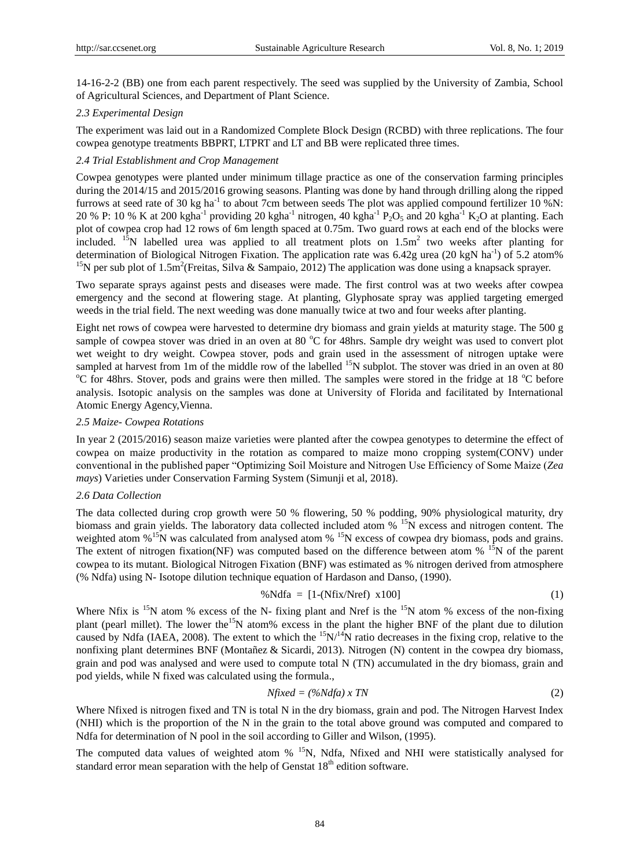14-16-2-2 (BB) one from each parent respectively. The seed was supplied by the University of Zambia, School of Agricultural Sciences, and Department of Plant Science.

### *2.3 Experimental Design*

The experiment was laid out in a Randomized Complete Block Design (RCBD) with three replications. The four cowpea genotype treatments BBPRT, LTPRT and LT and BB were replicated three times.

### *2.4 Trial Establishment and Crop Management*

Cowpea genotypes were planted under minimum tillage practice as one of the conservation farming principles during the 2014/15 and 2015/2016 growing seasons. Planting was done by hand through drilling along the ripped furrows at seed rate of 30 kg ha<sup>-1</sup> to about 7cm between seeds The plot was applied compound fertilizer 10 %N: 20 % P: 10 % K at 200 kgha<sup>-1</sup> providing 20 kgha<sup>-1</sup> nitrogen, 40 kgha<sup>-1</sup> P<sub>2</sub>O<sub>5</sub> and 20 kgha<sup>-1</sup> K<sub>2</sub>O at planting. Each plot of cowpea crop had 12 rows of 6m length spaced at 0.75m. Two guard rows at each end of the blocks were included. <sup>15</sup>N labelled urea was applied to all treatment plots on  $1.5m<sup>2</sup>$  two weeks after planting for determination of Biological Nitrogen Fixation. The application rate was 6.42g urea (20 kgN ha<sup>-1</sup>) of 5.2 atom% <sup>15</sup>N per sub plot of 1.5m<sup>2</sup> (Freitas, Silva & Sampaio, 2012) The application was done using a knapsack sprayer.

Two separate sprays against pests and diseases were made. The first control was at two weeks after cowpea emergency and the second at flowering stage. At planting, Glyphosate spray was applied targeting emerged weeds in the trial field. The next weeding was done manually twice at two and four weeks after planting.

Eight net rows of cowpea were harvested to determine dry biomass and grain yields at maturity stage. The 500 g sample of cowpea stover was dried in an oven at 80 °C for 48hrs. Sample dry weight was used to convert plot wet weight to dry weight. Cowpea stover, pods and grain used in the assessment of nitrogen uptake were sampled at harvest from 1m of the middle row of the labelled  $^{15}N$  subplot. The stover was dried in an oven at 80 <sup>o</sup>C for 48hrs. Stover, pods and grains were then milled. The samples were stored in the fridge at 18 <sup>o</sup>C before analysis. Isotopic analysis on the samples was done at University of Florida and facilitated by International Atomic Energy Agency,Vienna.

### *2.5 Maize- Cowpea Rotations*

In year 2 (2015/2016) season maize varieties were planted after the cowpea genotypes to determine the effect of cowpea on maize productivity in the rotation as compared to maize mono cropping system(CONV) under conventional in the published paper "Optimizing Soil Moisture and Nitrogen Use Efficiency of Some Maize (*Zea mays*) Varieties under Conservation Farming System (Simunji et al, 2018).

### *2.6 Data Collection*

The data collected during crop growth were 50 % flowering, 50 % podding, 90% physiological maturity, dry biomass and grain yields. The laboratory data collected included atom % <sup>15</sup>N excess and nitrogen content. The weighted atom %<sup>15</sup>N was calculated from analysed atom %<sup>15</sup>N excess of cowpea dry biomass, pods and grains. The extent of nitrogen fixation(NF) was computed based on the difference between atom  $%$  <sup>15</sup>N of the parent cowpea to its mutant. Biological Nitrogen Fixation (BNF) was estimated as % nitrogen derived from atmosphere (% Ndfa) using N- Isotope dilution technique equation of Hardason and Danso, (1990).

$$
\% Ndfa = [1-(Nfix/Nref) x100]
$$
\n(1)

Where Nfix is  $15N$  atom % excess of the N- fixing plant and Nref is the  $15N$  atom % excess of the non-fixing plant (pearl millet). The lower the<sup>15</sup>N atom% excess in the plant the higher BNF of the plant due to dilution caused by Ndfa (IAEA, 2008). The extent to which the  $15N/l<sup>4</sup>N$  ratio decreases in the fixing crop, relative to the nonfixing plant determines BNF (Montañez & Sicardi, 2013). Nitrogen (N) content in the cowpea dry biomass, grain and pod was analysed and were used to compute total N (TN) accumulated in the dry biomass, grain and pod yields, while N fixed was calculated using the formula.,

$$
Nfixed = (\% Ndfa) \times TN \tag{2}
$$

Where Nfixed is nitrogen fixed and TN is total N in the dry biomass, grain and pod. The Nitrogen Harvest Index (NHI) which is the proportion of the N in the grain to the total above ground was computed and compared to Ndfa for determination of N pool in the soil according to Giller and Wilson, (1995).

The computed data values of weighted atom % <sup>15</sup>N, Ndfa, Nfixed and NHI were statistically analysed for standard error mean separation with the help of Genstat  $18<sup>th</sup>$  edition software.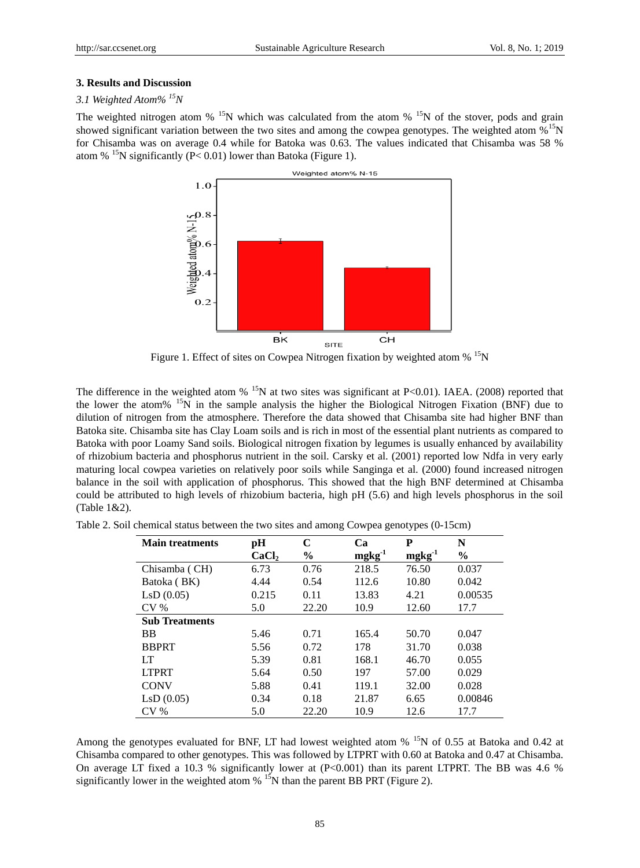### **3. Results and Discussion**

# *3.1 Weighted Atom% <sup>15</sup>N*

The weighted nitrogen atom  $\%$  <sup>15</sup>N which was calculated from the atom  $\%$  <sup>15</sup>N of the stover, pods and grain showed significant variation between the two sites and among the cowpea genotypes. The weighted atom  $\frac{\%}{15}N$ for Chisamba was on average 0.4 while for Batoka was 0.63. The values indicated that Chisamba was 58 % atom % <sup>15</sup>N significantly (P< 0.01) lower than Batoka (Figure 1).



Figure 1. Effect of sites on Cowpea Nitrogen fixation by weighted atom % <sup>15</sup>N

The difference in the weighted atom  $\%$  <sup>15</sup>N at two sites was significant at P<0.01). IAEA. (2008) reported that the lower the atom% <sup>15</sup>N in the sample analysis the higher the Biological Nitrogen Fixation (BNF) due to dilution of nitrogen from the atmosphere. Therefore the data showed that Chisamba site had higher BNF than Batoka site. Chisamba site has Clay Loam soils and is rich in most of the essential plant nutrients as compared to Batoka with poor Loamy Sand soils. Biological nitrogen fixation by legumes is usually enhanced by availability of rhizobium bacteria and phosphorus nutrient in the soil. Carsky et al. (2001) reported low Ndfa in very early maturing local cowpea varieties on relatively poor soils while Sanginga et al. (2000) found increased nitrogen balance in the soil with application of phosphorus. This showed that the high BNF determined at Chisamba could be attributed to high levels of rhizobium bacteria, high pH (5.6) and high levels phosphorus in the soil (Table 1&2).

| <b>Main treatments</b> | pН                | C             | Ca       | P           | N             |
|------------------------|-------------------|---------------|----------|-------------|---------------|
|                        | CaCl <sub>2</sub> | $\frac{6}{9}$ | $mgkg-1$ | $mgkg^{-1}$ | $\frac{0}{0}$ |
| Chisamba (CH)          | 6.73              | 0.76          | 218.5    | 76.50       | 0.037         |
| Batoka (BK)            | 4.44              | 0.54          | 112.6    | 10.80       | 0.042         |
| LsD(0.05)              | 0.215             | 0.11          | 13.83    | 4.21        | 0.00535       |
| CV <sub>%</sub>        | 5.0               | 22.20         | 10.9     | 12.60       | 17.7          |
| <b>Sub Treatments</b>  |                   |               |          |             |               |
| <b>BB</b>              | 5.46              | 0.71          | 165.4    | 50.70       | 0.047         |
| <b>BBPRT</b>           | 5.56              | 0.72          | 178      | 31.70       | 0.038         |
| LT                     | 5.39              | 0.81          | 168.1    | 46.70       | 0.055         |
| <b>LTPRT</b>           | 5.64              | 0.50          | 197      | 57.00       | 0.029         |
| <b>CONV</b>            | 5.88              | 0.41          | 119.1    | 32.00       | 0.028         |
| LsD(0.05)              | 0.34              | 0.18          | 21.87    | 6.65        | 0.00846       |
| CV <sub>0</sub>        | 5.0               | 22.20         | 10.9     | 12.6        | 17.7          |

Table 2. Soil chemical status between the two sites and among Cowpea genotypes (0-15cm)

Among the genotypes evaluated for BNF, LT had lowest weighted atom % <sup>15</sup>N of 0.55 at Batoka and 0.42 at Chisamba compared to other genotypes. This was followed by LTPRT with 0.60 at Batoka and 0.47 at Chisamba. On average LT fixed a 10.3 % significantly lower at (P<0.001) than its parent LTPRT. The BB was 4.6 % significantly lower in the weighted atom  $%$  <sup>15</sup>N than the parent BB PRT (Figure 2).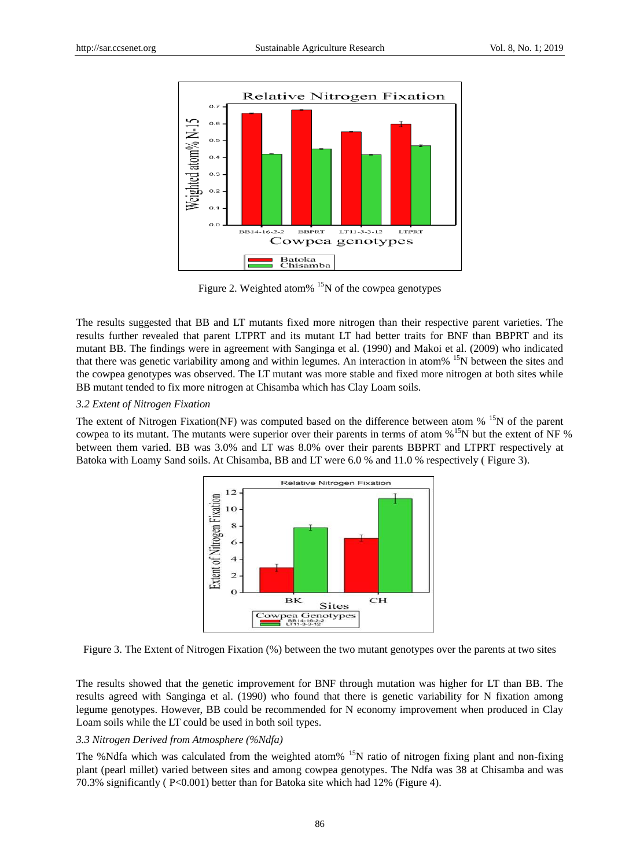

Figure 2. Weighted atom%  $15N$  of the cowpea genotypes

The results suggested that BB and LT mutants fixed more nitrogen than their respective parent varieties. The results further revealed that parent LTPRT and its mutant LT had better traits for BNF than BBPRT and its mutant BB. The findings were in agreement with Sanginga et al. (1990) and Makoi et al. (2009) who indicated that there was genetic variability among and within legumes. An interaction in atom % <sup>15</sup>N between the sites and the cowpea genotypes was observed. The LT mutant was more stable and fixed more nitrogen at both sites while BB mutant tended to fix more nitrogen at Chisamba which has Clay Loam soils.

# *3.2 Extent of Nitrogen Fixation*

The extent of Nitrogen Fixation(NF) was computed based on the difference between atom % <sup>15</sup>N of the parent cowpea to its mutant. The mutants were superior over their parents in terms of atom %<sup>15</sup>N but the extent of NF % between them varied. BB was 3.0% and LT was 8.0% over their parents BBPRT and LTPRT respectively at Batoka with Loamy Sand soils. At Chisamba, BB and LT were 6.0 % and 11.0 % respectively ( Figure 3).



Figure 3. The Extent of Nitrogen Fixation (%) between the two mutant genotypes over the parents at two sites

The results showed that the genetic improvement for BNF through mutation was higher for LT than BB. The results agreed with Sanginga et al. (1990) who found that there is genetic variability for N fixation among legume genotypes. However, BB could be recommended for N economy improvement when produced in Clay Loam soils while the LT could be used in both soil types.

# *3.3 Nitrogen Derived from Atmosphere (%Ndfa)*

The %Ndfa which was calculated from the weighted atom%  $^{15}N$  ratio of nitrogen fixing plant and non-fixing plant (pearl millet) varied between sites and among cowpea genotypes. The Ndfa was 38 at Chisamba and was 70.3% significantly ( P<0.001) better than for Batoka site which had 12% (Figure 4).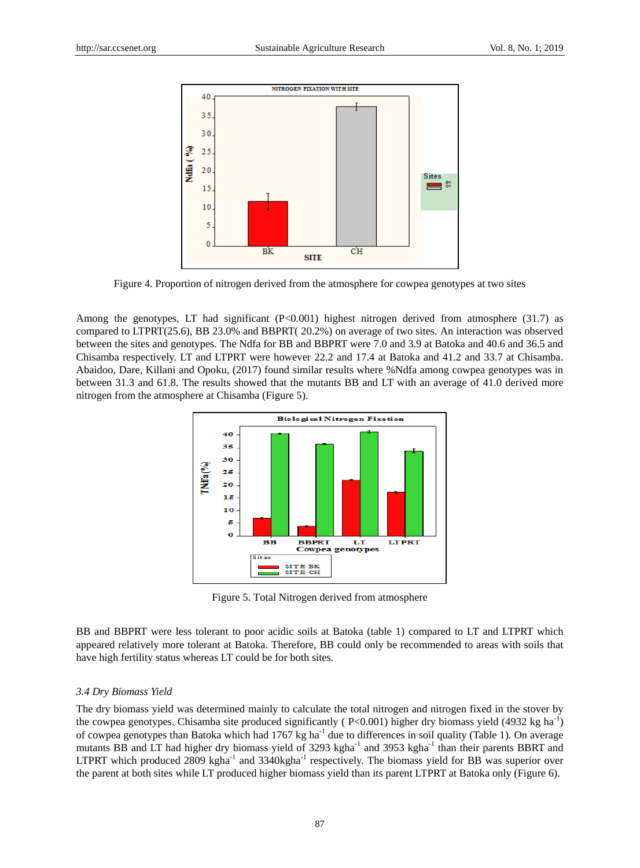

Figure 4. Proportion of nitrogen derived from the atmosphere for cowpea genotypes at two sites

Among the genotypes, LT had significant (P<0.001) highest nitrogen derived from atmosphere (31.7) as compared to LTPRT(25.6), BB 23.0% and BBPRT( 20.2%) on average of two sites. An interaction was observed between the sites and genotypes. The Ndfa for BB and BBPRT were 7.0 and 3.9 at Batoka and 40.6 and 36.5 and Chisamba respectively. LT and LTPRT were however 22.2 and 17.4 at Batoka and 41.2 and 33.7 at Chisamba. Abaidoo, Dare, Killani and Opoku, (2017) found similar results where %Ndfa among cowpea genotypes was in between 31.3 and 61.8. The results showed that the mutants BB and LT with an average of 41.0 derived more nitrogen from the atmosphere at Chisamba (Figure 5).



Figure 5. Total Nitrogen derived from atmosphere

BB and BBPRT were less tolerant to poor acidic soils at Batoka (table 1) compared to LT and LTPRT which appeared relatively more tolerant at Batoka. Therefore, BB could only be recommended to areas with soils that have high fertility status whereas LT could be for both sites.

# *3.4 Dry Biomass Yield*

The dry biomass yield was determined mainly to calculate the total nitrogen and nitrogen fixed in the stover by the cowpea genotypes. Chisamba site produced significantly ( $P<0.001$ ) higher dry biomass yield (4932 kg ha<sup>-1</sup>) of cowpea genotypes than Batoka which had 1767 kg ha<sup>-1</sup> due to differences in soil quality (Table 1). On average mutants BB and LT had higher dry biomass yield of 3293 kgha<sup>-1</sup> and 3953 kgha<sup>-1</sup> than their parents BBRT and LTPRT which produced 2809 kgha<sup>-1</sup> and 3340kgha<sup>-1</sup> respectively. The biomass yield for BB was superior over the parent at both sites while LT produced higher biomass yield than its parent LTPRT at Batoka only (Figure 6).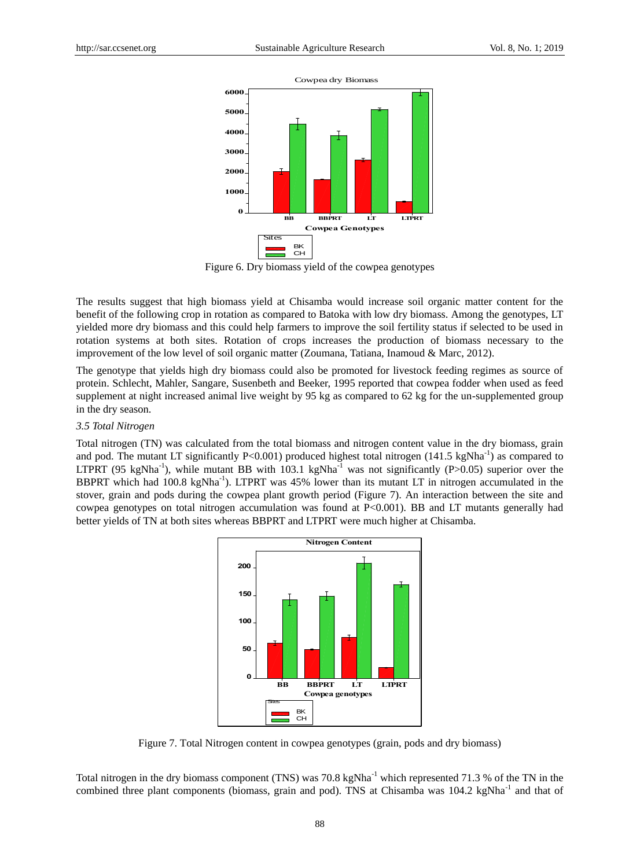

Figure 6. Dry biomass yield of the cowpea genotypes

The results suggest that high biomass yield at Chisamba would increase soil organic matter content for the benefit of the following crop in rotation as compared to Batoka with low dry biomass. Among the genotypes, LT yielded more dry biomass and this could help farmers to improve the soil fertility status if selected to be used in rotation systems at both sites. Rotation of crops increases the production of biomass necessary to the improvement of the low level of soil organic matter (Zoumana, Tatiana, Inamoud & Marc, 2012).

The genotype that yields high dry biomass could also be promoted for livestock feeding regimes as source of protein. Schlecht, Mahler, Sangare, Susenbeth and Beeker, 1995 reported that cowpea fodder when used as feed supplement at night increased animal live weight by 95 kg as compared to 62 kg for the un-supplemented group in the dry season.

### *3.5 Total Nitrogen*

Total nitrogen (TN) was calculated from the total biomass and nitrogen content value in the dry biomass, grain and pod. The mutant LT significantly P<0.001) produced highest total nitrogen  $(141.5 \text{ kgNha}^{-1})$  as compared to LTPRT (95 kgNha<sup>-1</sup>), while mutant BB with 103.1 kgNha<sup>-1</sup> was not significantly (P>0.05) superior over the BBPRT which had 100.8 kgNha<sup>-1</sup>). LTPRT was 45% lower than its mutant LT in nitrogen accumulated in the stover, grain and pods during the cowpea plant growth period (Figure 7). An interaction between the site and cowpea genotypes on total nitrogen accumulation was found at  $P<0.001$ ). BB and LT mutants generally had better yields of TN at both sites whereas BBPRT and LTPRT were much higher at Chisamba.



Figure 7. Total Nitrogen content in cowpea genotypes (grain, pods and dry biomass)

Total nitrogen in the dry biomass component (TNS) was 70.8 kgNha<sup>-1</sup> which represented 71.3 % of the TN in the combined three plant components (biomass, grain and pod). TNS at Chisamba was  $104.2 \text{ kg}Nha^{-1}$  and that of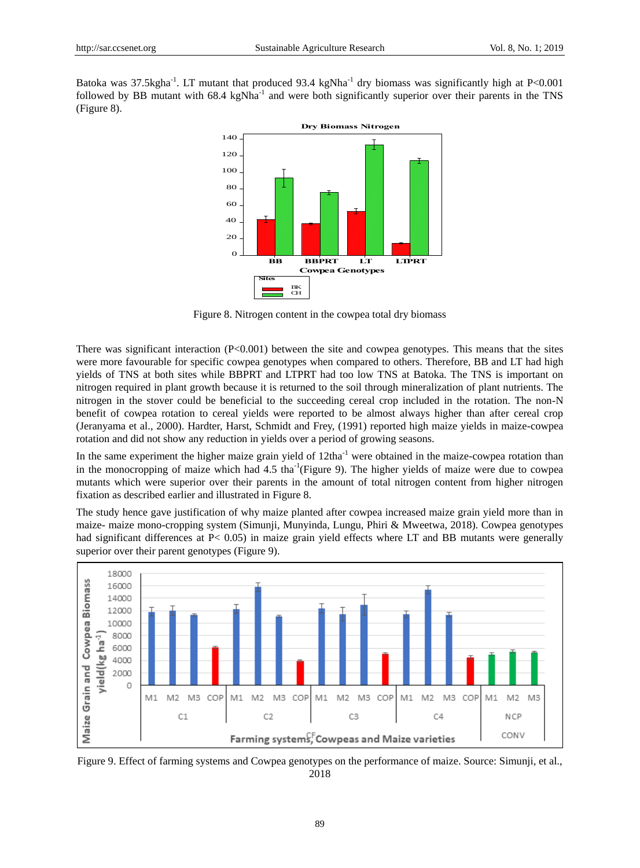Batoka was 37.5kgha<sup>-1</sup>. LT mutant that produced 93.4 kgNha<sup>-1</sup> dry biomass was significantly high at P<0.001 followed by BB mutant with 68.4 kgNha<sup>-1</sup> and were both significantly superior over their parents in the TNS (Figure 8).



Figure 8. Nitrogen content in the cowpea total dry biomass

There was significant interaction  $(P<0.001)$  between the site and cowpea genotypes. This means that the sites were more favourable for specific cowpea genotypes when compared to others. Therefore, BB and LT had high yields of TNS at both sites while BBPRT and LTPRT had too low TNS at Batoka. The TNS is important on nitrogen required in plant growth because it is returned to the soil through mineralization of plant nutrients. The nitrogen in the stover could be beneficial to the succeeding cereal crop included in the rotation. The non-N benefit of cowpea rotation to cereal yields were reported to be almost always higher than after cereal crop (Jeranyama et al., 2000). Hardter, Harst, Schmidt and Frey, (1991) reported high maize yields in maize-cowpea rotation and did not show any reduction in yields over a period of growing seasons.

In the same experiment the higher maize grain yield of 12tha<sup>-1</sup> were obtained in the maize-cowpea rotation than in the monocropping of maize which had  $4.5 \text{ tha}^{-1}$ (Figure 9). The higher yields of maize were due to cowpea mutants which were superior over their parents in the amount of total nitrogen content from higher nitrogen fixation as described earlier and illustrated in Figure 8.

The study hence gave justification of why maize planted after cowpea increased maize grain yield more than in maize- maize mono-cropping system (Simunji, Munyinda, Lungu, Phiri & Mweetwa, 2018). Cowpea genotypes had significant differences at P< 0.05) in maize grain yield effects where LT and BB mutants were generally superior over their parent genotypes (Figure 9).



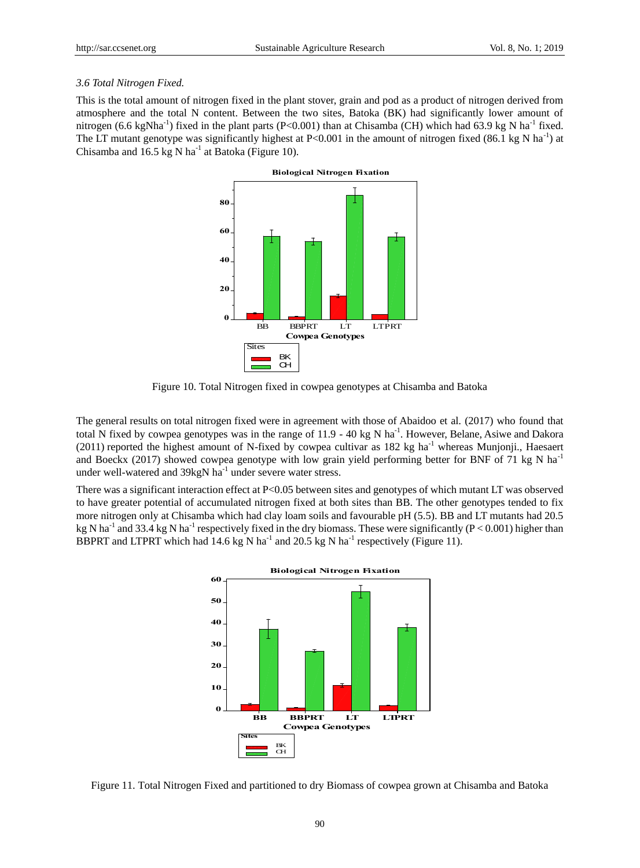### *3.6 Total Nitrogen Fixed.*

This is the total amount of nitrogen fixed in the plant stover, grain and pod as a product of nitrogen derived from atmosphere and the total N content. Between the two sites, Batoka (BK) had significantly lower amount of nitrogen (6.6 kgNha<sup>-1</sup>) fixed in the plant parts (P<0.001) than at Chisamba (CH) which had 63.9 kg N ha<sup>-1</sup> fixed. The LT mutant genotype was significantly highest at P<0.001 in the amount of nitrogen fixed (86.1 kg N ha<sup>-1</sup>) at Chisamba and 16.5 kg N ha<sup>-1</sup> at Batoka (Figure 10).



Figure 10. Total Nitrogen fixed in cowpea genotypes at Chisamba and Batoka

The general results on total nitrogen fixed were in agreement with those of Abaidoo et al. (2017) who found that total N fixed by cowpea genotypes was in the range of  $11.9 - 40$  kg N ha<sup>-1</sup>. However, Belane, Asiwe and Dakora (2011) reported the highest amount of N-fixed by cowpea cultivar as 182 kg ha<sup>-1</sup> whereas Munjonji., Haesaert and Boeckx (2017) showed cowpea genotype with low grain yield performing better for BNF of 71 kg N ha<sup>-1</sup> under well-watered and 39kgN ha<sup>-1</sup> under severe water stress.

There was a significant interaction effect at P<0.05 between sites and genotypes of which mutant LT was observed to have greater potential of accumulated nitrogen fixed at both sites than BB. The other genotypes tended to fix more nitrogen only at Chisamba which had clay loam soils and favourable pH (5.5). BB and LT mutants had 20.5 kg N ha<sup>-1</sup> and 33.4 kg N ha<sup>-1</sup> respectively fixed in the dry biomass. These were significantly (P < 0.001) higher than BBPRT and LTPRT which had 14.6 kg N ha<sup>-1</sup> and 20.5 kg N ha<sup>-1</sup> respectively (Figure 11).



Figure 11. Total Nitrogen Fixed and partitioned to dry Biomass of cowpea grown at Chisamba and Batoka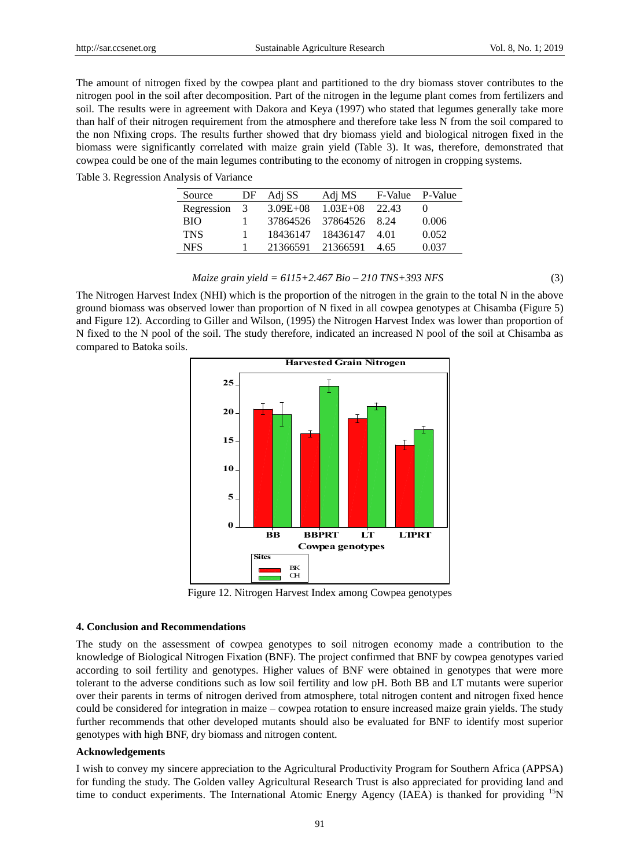The amount of nitrogen fixed by the cowpea plant and partitioned to the dry biomass stover contributes to the nitrogen pool in the soil after decomposition. Part of the nitrogen in the legume plant comes from fertilizers and soil. The results were in agreement with Dakora and Keya (1997) who stated that legumes generally take more than half of their nitrogen requirement from the atmosphere and therefore take less N from the soil compared to the non Nfixing crops. The results further showed that dry biomass yield and biological nitrogen fixed in the biomass were significantly correlated with maize grain yield (Table 3). It was, therefore, demonstrated that cowpea could be one of the main legumes contributing to the economy of nitrogen in cropping systems.

|  |  |  | Table 3. Regression Analysis of Variance |
|--|--|--|------------------------------------------|
|--|--|--|------------------------------------------|

| Source     | DF | Adj SS       | Adj MS       | F-Value P-Value |       |
|------------|----|--------------|--------------|-----------------|-------|
| Regression | 3  | $3.09E + 08$ | $1.03E + 08$ | 22.43           |       |
| <b>BIO</b> |    | 37864526     | 37864526     | 8.24            | 0.006 |
| <b>TNS</b> |    | 18436147     | 18436147     | 4.01            | 0.052 |
| <b>NFS</b> |    | 21366591     | 21366591     | 4.65            | 0.037 |

$$
Maize\, grain\, yield = 6115 + 2.467\, Bio - 210\, TNS + 393\, NFS\tag{3}
$$

The Nitrogen Harvest Index (NHI) which is the proportion of the nitrogen in the grain to the total N in the above ground biomass was observed lower than proportion of N fixed in all cowpea genotypes at Chisamba (Figure 5) and Figure 12). According to Giller and Wilson, (1995) the Nitrogen Harvest Index was lower than proportion of N fixed to the N pool of the soil. The study therefore, indicated an increased N pool of the soil at Chisamba as compared to Batoka soils.



Figure 12. Nitrogen Harvest Index among Cowpea genotypes

### **4. Conclusion and Recommendations**

The study on the assessment of cowpea genotypes to soil nitrogen economy made a contribution to the knowledge of Biological Nitrogen Fixation (BNF). The project confirmed that BNF by cowpea genotypes varied according to soil fertility and genotypes. Higher values of BNF were obtained in genotypes that were more tolerant to the adverse conditions such as low soil fertility and low pH. Both BB and LT mutants were superior over their parents in terms of nitrogen derived from atmosphere, total nitrogen content and nitrogen fixed hence could be considered for integration in maize – cowpea rotation to ensure increased maize grain yields. The study further recommends that other developed mutants should also be evaluated for BNF to identify most superior genotypes with high BNF, dry biomass and nitrogen content.

### **Acknowledgements**

I wish to convey my sincere appreciation to the Agricultural Productivity Program for Southern Africa (APPSA) for funding the study. The Golden valley Agricultural Research Trust is also appreciated for providing land and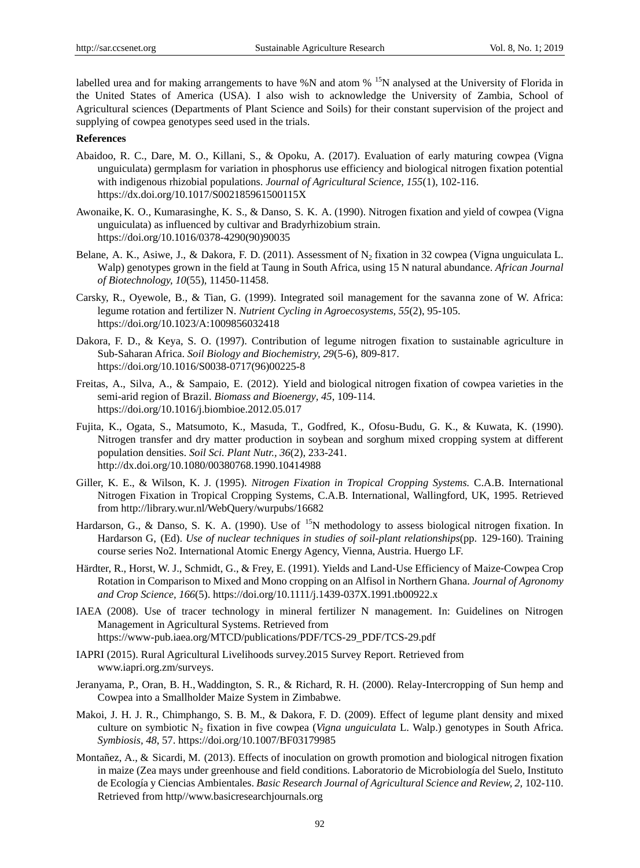labelled urea and for making arrangements to have %N and atom % <sup>15</sup>N analysed at the University of Florida in the United States of America (USA). I also wish to acknowledge the University of Zambia, School of Agricultural sciences (Departments of Plant Science and Soils) for their constant supervision of the project and supplying of cowpea genotypes seed used in the trials.

### **References**

- Abaidoo, R. C., Dare, M. O., Killani, S., & Opoku, A. (2017). Evaluation of early maturing cowpea (Vigna unguiculata) germplasm for variation in phosphorus use efficiency and biological nitrogen fixation potential with indigenous rhizobial populations. *Journal of Agricultural Science, 155*(1), 102-116. https://dx.doi.org/10.1017/S002185961500115X
- Awonaike, K. O., Kumarasinghe, K. S., & Danso, S. K. A. (1990). Nitrogen fixation and yield of cowpea (Vigna unguiculata) as influenced by cultivar and Bradyrhizobium strain. https://doi.org/10.1016/0378-4290(90)90035
- Belane, A. K., Asiwe, J., & Dakora, F. D. (2011). Assessment of N<sub>2</sub> fixation in 32 cowpea (Vigna unguiculata L. Walp) genotypes grown in the field at Taung in South Africa, using 15 N natural abundance. *African Journal of Biotechnology, 10*(55), 11450-11458.
- Carsky, R., Oyewole, B., & Tian, G. (1999). Integrated soil management for the savanna zone of W. Africa: legume rotation and fertilizer N. *Nutrient Cycling in Agroecosystems, 55*(2), 95-105. https://doi.org/10.1023/A:1009856032418
- Dakora, F. D., & Keya, S. O. (1997). Contribution of legume nitrogen fixation to sustainable agriculture in Sub-Saharan Africa. *Soil Biology and Biochemistry, 29*(5-6), 809-817. https://doi.org/10.1016/S0038-0717(96)00225-8
- Freitas, A., Silva, A., & Sampaio, E. (2012). Yield and biological nitrogen fixation of cowpea varieties in the semi-arid region of Brazil. *Biomass and Bioenergy, 45*, 109-114. https://doi.org/10.1016/j.biombioe.2012.05.017
- Fujita, K., Ogata, S., Matsumoto, K., Masuda, T., Godfred, K., Ofosu-Budu, G. K., & Kuwata, K. (1990). Nitrogen transfer and dry matter production in soybean and sorghum mixed cropping system at different population densities. *Soil Sci. Plant Nutr., 36*(2), 233-241. http://dx.doi.org/10.1080/00380768.1990.10414988
- Giller, K. E., & Wilson, K. J. (1995). *Nitrogen Fixation in Tropical Cropping Systems.* C.A.B. International Nitrogen Fixation in Tropical Cropping Systems, C.A.B. International, Wallingford, UK, 1995. Retrieved from http://library.wur.nl/WebQuery/wurpubs/16682
- Hardarson, G., & Danso, S. K. A. (1990). Use of <sup>15</sup>N methodology to assess biological nitrogen fixation. In Hardarson G, (Ed). *Use of nuclear techniques in studies of soil-plant relationships*(pp. 129-160). Training course series No2. International Atomic Energy Agency, Vienna, Austria. Huergo LF.
- Härdter, R., Horst, W. J., Schmidt, G., & Frey, E. (1991). Yields and Land‐Use Efficiency of Maize‐Cowpea Crop Rotation in Comparison to Mixed and Mono cropping on an Alfisol in Northern Ghana. *Journal of Agronomy and Crop Science, 166*(5). https://doi.org/10.1111/j.1439-037X.1991.tb00922.x
- IAEA (2008). Use of tracer technology in mineral fertilizer N management. In: Guidelines on Nitrogen Management in Agricultural Systems. Retrieved from https://www-pub.iaea.org/MTCD/publications/PDF/TCS-29\_PDF/TCS-29.pdf
- IAPRI (2015). Rural Agricultural Livelihoods survey.2015 Survey Report. Retrieved from www.iapri.org.zm/surveys.
- Jeranyama, P., Oran, B. H.,Waddington, S. R., & Richard, R. H. (2000). Relay-Intercropping of Sun hemp and Cowpea into a Smallholder Maize System in Zimbabwe.
- Makoi, J. H. J. R., Chimphango, S. B. M., & Dakora, F. D. (2009). Effect of legume plant density and mixed culture on symbiotic N<sup>2</sup> fixation in five cowpea (*Vigna unguiculata* L. Walp.) genotypes in South Africa. *Symbiosis, 48*, 57. https://doi.org/10.1007/BF03179985
- Montañez, A., & Sicardi, M. (2013). Effects of inoculation on growth promotion and biological nitrogen fixation in maize (Zea mays under greenhouse and field conditions. Laboratorio de Microbiología del Suelo, Instituto de Ecología y Ciencias Ambientales. *Basic Research Journal of Agricultural Science and Review, 2,* 102-110. Retrieved from http//www.basicresearchjournals.org